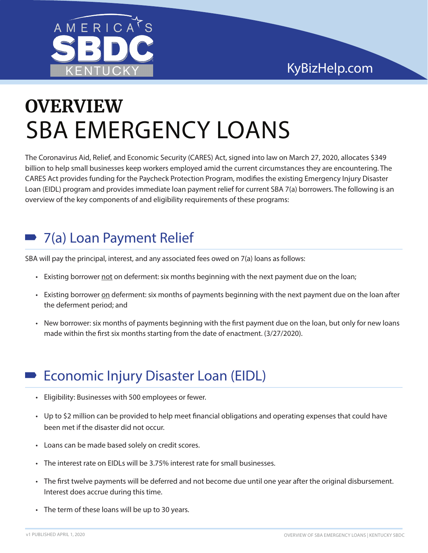

# SBA EMERGENCY LOANS **OVERVIEW**

The Coronavirus Aid, Relief, and Economic Security (CARES) Act, signed into law on March 27, 2020, allocates \$349 billion to help small businesses keep workers employed amid the current circumstances they are encountering. The CARES Act provides funding for the Paycheck Protection Program, modifies the existing Emergency Injury Disaster Loan (EIDL) program and provides immediate loan payment relief for current SBA 7(a) borrowers. The following is an overview of the key components of and eligibility requirements of these programs:

## 7(a) Loan Payment Relief

SBA will pay the principal, interest, and any associated fees owed on 7(a) loans as follows:

- Existing borrower not on deferment: six months beginning with the next payment due on the loan;
- Existing borrower on deferment: six months of payments beginning with the next payment due on the loan after the deferment period; and
- New borrower: six months of payments beginning with the first payment due on the loan, but only for new loans made within the first six months starting from the date of enactment. (3/27/2020).

#### Economic Injury Disaster Loan (EIDL)

- Eligibility: Businesses with 500 employees or fewer.
- Up to \$2 million can be provided to help meet financial obligations and operating expenses that could have been met if the disaster did not occur.
- Loans can be made based solely on credit scores.
- The interest rate on EIDLs will be 3.75% interest rate for small businesses.
- The first twelve payments will be deferred and not become due until one year after the original disbursement. Interest does accrue during this time.
- The term of these loans will be up to 30 years.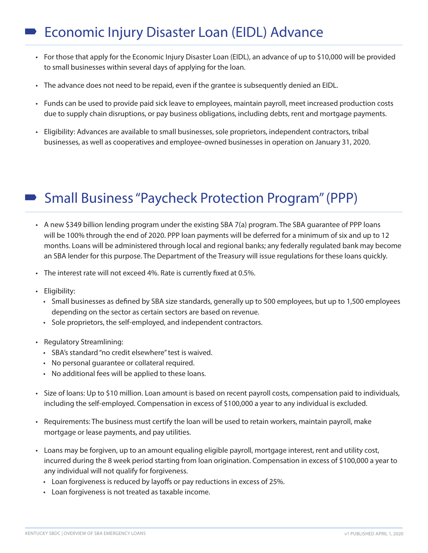### Economic Injury Disaster Loan (EIDL) Advance

- For those that apply for the Economic Injury Disaster Loan (EIDL), an advance of up to \$10,000 will be provided to small businesses within several days of applying for the loan.
- The advance does not need to be repaid, even if the grantee is subsequently denied an EIDL.
- Funds can be used to provide paid sick leave to employees, maintain payroll, meet increased production costs due to supply chain disruptions, or pay business obligations, including debts, rent and mortgage payments.
- Eligibility: Advances are available to small businesses, sole proprietors, independent contractors, tribal businesses, as well as cooperatives and employee-owned businesses in operation on January 31, 2020.

#### Small Business "Paycheck Protection Program" (PPP)

- A new \$349 billion lending program under the existing SBA 7(a) program. The SBA guarantee of PPP loans will be 100% through the end of 2020. PPP loan payments will be deferred for a minimum of six and up to 12 months. Loans will be administered through local and regional banks; any federally regulated bank may become an SBA lender for this purpose. The Department of the Treasury will issue regulations for these loans quickly.
- The interest rate will not exceed 4%. Rate is currently fixed at 0.5%.
- Eligibility:
	- Small businesses as defined by SBA size standards, generally up to 500 employees, but up to 1,500 employees depending on the sector as certain sectors are based on revenue.
	- Sole proprietors, the self-employed, and independent contractors.
- Regulatory Streamlining:
	- SBA's standard "no credit elsewhere" test is waived.
	- No personal guarantee or collateral required.
	- No additional fees will be applied to these loans.
- Size of loans: Up to \$10 million. Loan amount is based on recent payroll costs, compensation paid to individuals, including the self-employed. Compensation in excess of \$100,000 a year to any individual is excluded.
- Requirements: The business must certify the loan will be used to retain workers, maintain payroll, make mortgage or lease payments, and pay utilities.
- Loans may be forgiven, up to an amount equaling eligible payroll, mortgage interest, rent and utility cost, incurred during the 8 week period starting from loan origination. Compensation in excess of \$100,000 a year to any individual will not qualify for forgiveness.
	- Loan forgiveness is reduced by layoffs or pay reductions in excess of 25%.
	- Loan forgiveness is not treated as taxable income.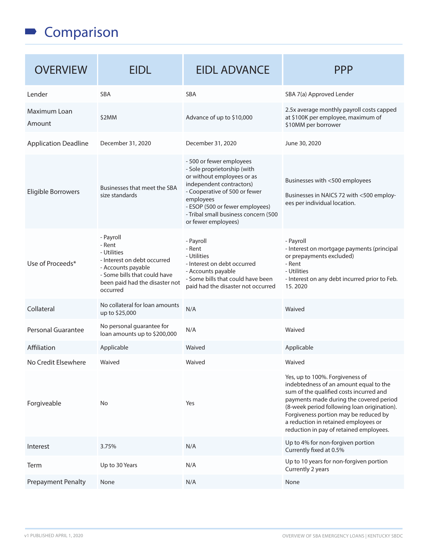#### Comparison

| <b>OVERVIEW</b>             | <b>EIDL</b>                                                                                                                                                           | <b>EIDL ADVANCE</b>                                                                                                                                                                                                                                               | <b>PPP</b>                                                                                                                                                                                                                                                                                                                                 |
|-----------------------------|-----------------------------------------------------------------------------------------------------------------------------------------------------------------------|-------------------------------------------------------------------------------------------------------------------------------------------------------------------------------------------------------------------------------------------------------------------|--------------------------------------------------------------------------------------------------------------------------------------------------------------------------------------------------------------------------------------------------------------------------------------------------------------------------------------------|
| Lender                      | <b>SBA</b>                                                                                                                                                            | <b>SBA</b>                                                                                                                                                                                                                                                        | SBA 7(a) Approved Lender                                                                                                                                                                                                                                                                                                                   |
| Maximum Loan<br>Amount      | \$2MM                                                                                                                                                                 | Advance of up to \$10,000                                                                                                                                                                                                                                         | 2.5x average monthly payroll costs capped<br>at \$100K per employee, maximum of<br>\$10MM per borrower                                                                                                                                                                                                                                     |
| <b>Application Deadline</b> | December 31, 2020                                                                                                                                                     | December 31, 2020                                                                                                                                                                                                                                                 | June 30, 2020                                                                                                                                                                                                                                                                                                                              |
| Eligible Borrowers          | Businesses that meet the SBA<br>size standards                                                                                                                        | - 500 or fewer employees<br>- Sole proprietorship (with<br>or without employees or as<br>independent contractors)<br>- Cooperative of 500 or fewer<br>employees<br>- ESOP (500 or fewer employees)<br>- Tribal small business concern (500<br>or fewer employees) | Businesses with <500 employees<br>Businesses in NAICS 72 with <500 employ-<br>ees per individual location.                                                                                                                                                                                                                                 |
| Use of Proceeds*            | - Payroll<br>- Rent<br>- Utilities<br>- Interest on debt occurred<br>- Accounts payable<br>- Some bills that could have<br>been paid had the disaster not<br>occurred | - Payroll<br>- Rent<br>- Utilities<br>- Interest on debt occurred<br>- Accounts payable<br>- Some bills that could have been<br>paid had the disaster not occurred                                                                                                | - Payroll<br>- Interest on mortgage payments (principal<br>or prepayments excluded)<br>- Rent<br>- Utilities<br>- Interest on any debt incurred prior to Feb.<br>15.2020                                                                                                                                                                   |
| Collateral                  | No collateral for loan amounts<br>up to \$25,000                                                                                                                      | N/A                                                                                                                                                                                                                                                               | Waived                                                                                                                                                                                                                                                                                                                                     |
| Personal Guarantee          | No personal guarantee for<br>loan amounts up to \$200,000                                                                                                             | N/A                                                                                                                                                                                                                                                               | Waived                                                                                                                                                                                                                                                                                                                                     |
| Affiliation                 | Applicable                                                                                                                                                            | Waived                                                                                                                                                                                                                                                            | Applicable                                                                                                                                                                                                                                                                                                                                 |
| No Credit Elsewhere         | Waived                                                                                                                                                                | Waived                                                                                                                                                                                                                                                            | Waived                                                                                                                                                                                                                                                                                                                                     |
| Forgiveable                 | No                                                                                                                                                                    | Yes                                                                                                                                                                                                                                                               | Yes, up to 100%. Forgiveness of<br>indebtedness of an amount equal to the<br>sum of the qualified costs incurred and<br>payments made during the covered period<br>(8-week period following loan origination).<br>Forgiveness portion may be reduced by<br>a reduction in retained employees or<br>reduction in pay of retained employees. |
| Interest                    | 3.75%                                                                                                                                                                 | N/A                                                                                                                                                                                                                                                               | Up to 4% for non-forgiven portion<br>Currently fixed at 0.5%                                                                                                                                                                                                                                                                               |
| Term                        | Up to 30 Years                                                                                                                                                        | N/A                                                                                                                                                                                                                                                               | Up to 10 years for non-forgiven portion<br>Currently 2 years                                                                                                                                                                                                                                                                               |
| <b>Prepayment Penalty</b>   | None                                                                                                                                                                  | N/A                                                                                                                                                                                                                                                               | None                                                                                                                                                                                                                                                                                                                                       |